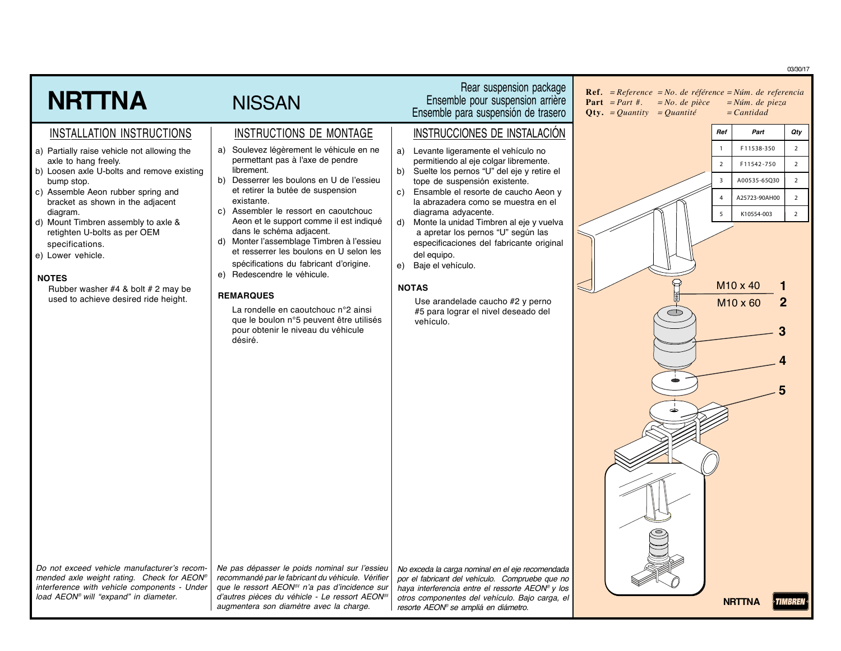|                                                                                            |                                                                                                               |                                                                                                     |                                                                                                                                                       |                                          | 03/30/17       |
|--------------------------------------------------------------------------------------------|---------------------------------------------------------------------------------------------------------------|-----------------------------------------------------------------------------------------------------|-------------------------------------------------------------------------------------------------------------------------------------------------------|------------------------------------------|----------------|
| <b>NRTTNA</b>                                                                              | <b>NISSAN</b>                                                                                                 | Rear suspension package<br>Ensemble pour suspension arrière<br>Ensemble para suspensión de trasero  | <b>Ref.</b> = $Reference = No$ . de référence = $Núm$ . de referencia<br><b>Part</b> $= Part #$ .<br>$= No.$ de pièce<br>$Qty. = Quantity = Quantité$ | $=N$ úm. de pieza<br>$=$ <i>Cantidad</i> |                |
| INSTALLATION INSTRUCTIONS                                                                  | INSTRUCTIONS DE MONTAGE                                                                                       | INSTRUCCIONES DE INSTALACIÓN                                                                        | Ref                                                                                                                                                   | Part                                     | Qty            |
| a) Partially raise vehicle not allowing the                                                | Soulevez légèrement le véhicule en ne<br>a)                                                                   | Levante ligeramente el vehículo no<br>a)                                                            |                                                                                                                                                       | F11538-350                               | $\overline{2}$ |
| axle to hang freely.<br>b) Loosen axle U-bolts and remove existing                         | permettant pas à l'axe de pendre<br>librement.                                                                | permitiendo al eje colgar libremente.<br>Suelte los pernos "U" del eje y retire el<br>b)            | $\overline{2}$                                                                                                                                        | F11542-750                               | $\overline{2}$ |
| bump stop.                                                                                 | Desserrer les boulons en U de l'essieu<br>b)<br>et retirer la butée de suspension                             | tope de suspensión existente.                                                                       | $\overline{3}$                                                                                                                                        | A00535-65Q30                             | $\overline{2}$ |
| c) Assemble Aeon rubber spring and<br>bracket as shown in the adjacent                     | existante.                                                                                                    | Ensamble el resorte de caucho Aeon y<br>C)<br>la abrazadera como se muestra en el                   | $\overline{4}$                                                                                                                                        | A25723-90AH00                            | $\overline{2}$ |
| diagram.<br>d) Mount Timbren assembly to axle &                                            | c) Assembler le ressort en caoutchouc<br>Aeon et le support comme il est indiqué                              | diagrama adyacente.<br>Monte la unidad Timbren al eje y vuelva<br>d)                                | 5                                                                                                                                                     | K10554-003                               | $\overline{2}$ |
| retighten U-bolts as per OEM                                                               | dans le schéma adjacent.<br>d) Monter l'assemblage Timbren à l'essieu                                         | a apretar los pernos "U" según las                                                                  |                                                                                                                                                       |                                          |                |
| specifications.<br>e) Lower vehicle.                                                       | et resserrer les boulons en U selon les                                                                       | especificaciones del fabricante original<br>del equipo.                                             |                                                                                                                                                       |                                          |                |
|                                                                                            | spécifications du fabricant d'origine.<br>e) Redescendre le véhicule.                                         | Baje el vehículo.<br>e)                                                                             |                                                                                                                                                       |                                          |                |
| <b>NOTES</b><br>Rubber washer #4 & bolt # 2 may be                                         |                                                                                                               | <b>NOTAS</b>                                                                                        |                                                                                                                                                       | M <sub>10</sub> x 40                     |                |
| used to achieve desired ride height.                                                       | <b>REMARQUES</b>                                                                                              | Use arandelade caucho #2 y perno                                                                    |                                                                                                                                                       | M <sub>10</sub> x 60                     |                |
|                                                                                            | La rondelle en caoutchouc n°2 ainsi<br>que le boulon n°5 peuvent être utilisés                                | #5 para lograr el nivel deseado del<br>vehículo.                                                    |                                                                                                                                                       |                                          |                |
|                                                                                            | pour obtenir le niveau du véhicule<br>désiré.                                                                 |                                                                                                     |                                                                                                                                                       |                                          |                |
|                                                                                            |                                                                                                               |                                                                                                     |                                                                                                                                                       |                                          |                |
|                                                                                            |                                                                                                               |                                                                                                     |                                                                                                                                                       |                                          |                |
|                                                                                            |                                                                                                               |                                                                                                     |                                                                                                                                                       |                                          |                |
|                                                                                            |                                                                                                               |                                                                                                     |                                                                                                                                                       |                                          |                |
|                                                                                            |                                                                                                               |                                                                                                     |                                                                                                                                                       |                                          |                |
|                                                                                            |                                                                                                               |                                                                                                     |                                                                                                                                                       |                                          |                |
|                                                                                            |                                                                                                               |                                                                                                     |                                                                                                                                                       |                                          |                |
|                                                                                            |                                                                                                               |                                                                                                     |                                                                                                                                                       |                                          |                |
|                                                                                            |                                                                                                               |                                                                                                     |                                                                                                                                                       |                                          |                |
|                                                                                            |                                                                                                               |                                                                                                     |                                                                                                                                                       |                                          |                |
|                                                                                            |                                                                                                               |                                                                                                     |                                                                                                                                                       |                                          |                |
|                                                                                            |                                                                                                               |                                                                                                     |                                                                                                                                                       |                                          |                |
|                                                                                            |                                                                                                               |                                                                                                     |                                                                                                                                                       |                                          |                |
| Do not exceed vehicle manufacturer's recom-                                                | Ne pas dépasser le poids nominal sur l'essieu                                                                 | No exceda la carga nominal en el eje recomendada                                                    |                                                                                                                                                       |                                          |                |
| mended axle weight rating. Check for AEON®<br>interference with vehicle components - Under | recommandé par le fabricant du véhicule. Vérifier<br>que le ressort AEON <sup>®</sup> n'a pas d'incidence sur | por el fabricant del vehículo. Compruebe que no<br>haya interferencia entre el ressorte AEON® y los |                                                                                                                                                       |                                          |                |
| load AEON® will "expand" in diameter.                                                      | d'autres pièces du véhicle - Le ressort AEON®<br>augmentera son diamètre avec la charge.                      | otros componentes del vehículo. Bajo carga, el<br>resorte AEON® se ampliá en diámetro.              |                                                                                                                                                       | <b>NRTTNA</b>                            | TIMBREN        |